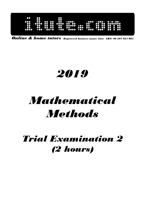

Online & home tutors Registered business name: itute ABN: 96 297 924 083

## 2019

# Mathematical **Methods**

### Trial Examination 2 (2 hours)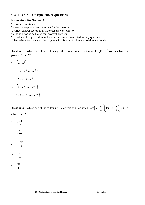#### **SECTION A Multiple-choice questions**

#### **Instructions for Section A**

Answer **all** questions.

Choose the response that is **correct** for the question.

A correct answer scores 1, an incorrect answer scores 0.

Marks will **not** be deducted for incorrect answers.

**No** marks will be given if more than one answer is completed for any question.

Unless otherwise indicated, the diagrams in this examination are **not** drawn to scale.

**Question 1** Which one of the following is the correct solution set when  $\log_a(b-x)^2 = c$  is solved for *x* given  $a, b, c \in R$ ?

A.  $\{b - a^{\frac{c}{2}}\}$ 

- **B.**  $\{-b + a^{\frac{c}{2}}, b + a^{-\frac{c}{2}}\}$
- C.  ${b-a^{\frac{c}{2}}}, b+a^{\frac{c}{2}}$
- D.  $\{b-a^{\sqrt{c}}, b-a^{-\sqrt{c}}\}\$
- E.  $\{-b + a^{\sqrt{c}}, b + a^{-\sqrt{c}}\}\$

**Question 2** Which one of the following is a correct solution when  $|\cos x + \frac{\pi}{4}| |\tan x - \frac{\pi}{4}| | = 0$ 4 tan  $\cos\left(x+\frac{\pi}{4}\right)\left(\tan\left(x-\frac{\pi}{4}\right)\right)$ J  $\backslash$  $\overline{\phantom{a}}$ l ſ  $\overline{\phantom{a}}$ J  $\left(x-\frac{\pi}{\cdot}\right)$ l  $\int \tan\left(x - \frac{1}{x}\right)$ J  $\backslash$  $\overline{\phantom{a}}$ l ſ  $\overline{\phantom{a}}$ J  $\left(x+\frac{\pi}{\cdot}\right)$ l  $\left(x + \frac{\pi}{4}\right) \left| \tan \left(x - \frac{\pi}{4}\right) \right| = 0$  is solved for *x* ?

- A. 4  $-\frac{9\pi}{4}$
- B. 4  $-\frac{5\pi}{4}$
- C. 4  $-\frac{3\pi}{4}$
- D. 4  $-\frac{\pi}{4}$
- E. 4  $7\pi$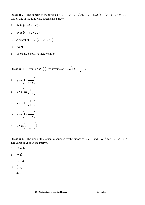**Question 3** The domain of the inverse of  $\{(3, -3), (-1, -2), (1, -1), (-2, 2), (3, -1), (-2, -3)\}$  is *D*. Which one of the following statements is true?

- A. *D* is  $\{x: -2 \le x \le 3\}$
- B. *D* is  $\{x : -3 \le x \le 2\}$
- C. A subset of *D* is  $\{x : -2 \le x \le 2\}$
- D. 3∉ *D*
- E. There are 3 positive integers in *D*

**Question 4** Given  $a \in R \setminus \{0\}$ , the **inverse** of  $y = a \mid 1 \pm \frac{1}{\sqrt{a}}$ J  $\left(1 \pm \frac{1}{\sqrt{2}}\right)$ l ſ −  $= a \vert 1 \pm$  $x - a$  $y = a \left( 1 \pm \frac{1}{a} \right)$  is

A.  $y = a \left| 1 \pm \frac{1}{x} \right|$ J  $\left(1 \pm \frac{1}{\sqrt{2}}\right)$ l ſ −  $= a | 1 \pm$  $x - a$  $y = a \left( 1 \pm \frac{1}{a} \right)$ **B.**  $y = a \left| 1 \pm \frac{1}{x} \right|$ J  $\left(1 \pm \frac{1}{\sqrt{2}}\right)$ l ſ +  $= a | 1 \pm$  $x + a$  $y = a \left( 1 \pm \frac{1}{a} \right)$ C.  $y = a \left| 1 - \frac{1}{x} \right|$ J  $\left(1-\frac{1}{\cdot}\right)$ l ſ ±  $= a | 1$  $x \pm a$  $y = a \left( 1 - \frac{1}{a} \right)$ D.  $y = a \left| 1 + \frac{1}{x} \right|$ J  $\left(1+\frac{1}{\cdots}\right)$ l ſ ±  $= a | 1 +$  $x \pm a$  $y = a \left( 1 + \frac{1}{a} \right)$ E.  $y = \pm a | 1 - \frac{1}{\pm a} |$ J  $\left(1-\frac{1}{\sqrt{2}}\right)$ l ſ −  $=\pm a\vert 1$  $x - a$  $y = \pm a \left( 1 - \frac{1}{a} \right)$ 

Question 5 The area of the region(s) bounded by the graphs of  $y = x^a$  and  $y = x^{\frac{1}{a}}$  for  $0 < a < 1$  is *A*. The value of *A* is in the interval

- A.  $(0, 0.5)$
- $B. (0,1)$
- C.  $(1, 1.5)$
- D.  $(1, 2)$
- E.  $(0, 2)$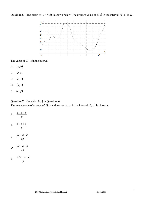**Question 6** The graph of  $y = h(x)$  is shown below. The average value of  $h(x)$  in the interval  $[0, p]$  is *H*.



The value of *H* is in the interval

- A. (*a*, *b*)
- B.  $(b, c)$
- C.  $(c, d)$
- D. (*d*, *e*)
- E. (*e*, *f* )

#### **Question 7** Consider *h*(*x*) in **Question 6**.

The average rate of change of  $h(x)$  with respect to x in the interval  $[0, p]$  is closest to

A. *p c* − *a* + *b* B. *p b* − *a* + *c* C. *p*  $c - a - b$ 2  $2c - a -$ D. *p*  $c - a + b$ 2  $2c - a +$ 

$$
E. \quad \frac{0.5c - a + b}{p}
$$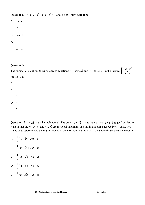Question 8 If  $f(x-a)+f(a-x)=0$  and  $a \in R$ ,  $f(x)$  cannot be

- A. tan *x* **B**.  $2x^3$ C. sin3*x*
- 
- D.  $4x^{-3}$
- E.  $\cos 5x$

#### **Question 9**

The number of solutions to simultaneous equations  $y = cos(nx)$  and  $y = cos(3nx)$  in the interval  $\left[-\frac{\pi}{n}, \frac{\pi}{n}\right]$ 1 L − *n n*  $\frac{\pi}{\cdot}$ for  $n > 0$  is A. 1 B. 2 C. 3 D. 4 E. 5

**Question 10** *f*(*x*) is a cubic polynomial. The graph  $y = f(x)$  cuts the *x*-axis at  $x = a$ , *b* and *c* from left to right in that order.  $(m, n)$  and  $(p, q)$  are the local maximum and minimum points respectively. Using two triangles to approximate the regions bounded by  $y = f(x)$  and the *x*-axis, the approximate area is closest to

A.  $\frac{1}{2}(nc - (n + q)b + qa)$ 2 1 B.  $\frac{1}{2}(nc + (n+q)b + qa)$ 2 1 C.  $\frac{1}{2}((n-q)b - na - qc)$ 2 1 D.  $\frac{1}{2}((n-q)b + na - qc)$ 2 1 E.  $\frac{1}{2}((n-q)b - na + qc)$ 2 1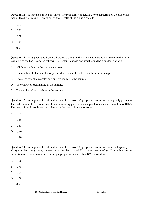**Question 11** A fair die is rolled 18 times. The probability of getting 5 or 6 appearing on the uppermost face of the die 5 times or 6 times out of the 18 rolls of the die is closest to

- A. 0.25
- B. 0.33
- $C. 0.38$
- D. 0.43
- $E. 0.51$

**Question 12** A bag contains 3 green, 4 blue and 5 red marbles. A random sample of three marbles are taken out of the bag. From the following statements choose one which could be a random variable.

- A. All three marbles in the sample are green.
- B. The number of blue marbles is greater than the number of red marbles in the sample.
- C. There are two blue marbles and one red marble in the sample.
- D. The colour of each marble in the sample.
- E. The number of red marbles in the sample.

**Question 13** A large number of random samples of size 256 people are taken from a large city population. The distribution of  $\hat{P}$ , proportion of people wearing glasses in a sample, has a standard deviation of 0.025. The proportion of people wearing glasses in the population is closest to

- A. 0.55
- $B. 0.45$
- $C. 0.40$
- $D. 0.30$
- $E. \quad 0.20$

**Question 14** A large number of random samples of size 300 people are taken from another large city. Many samples have  $\hat{p} = 0.25$ . A statistician decides to use 0.25 as an estimation of *p*. Using this value the proportion of random samples with sample proportion greater than 0.2 is closest to

- A. 0.98
- B. 0.78
- $C. 0.68$
- D. 0.58
- $E. 0.57$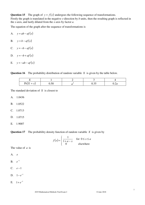**Question 15** The graph of  $y = f(x)$  undergoes the following sequence of transformations. Firstly the graph is translated in the negative *y*-direction by *b* units, then the resulting graph is reflected in the *x*-axis, and lastly dilated from the *x*-axis by factor *a*.

The equation of the graph after the sequence of transformations is

- A.  $y = ab af(x)$
- B.  $y = b af(x)$
- C.  $y = −b − af(x)$
- D.  $y = -b + af(x)$
- E.  $y = -ab af(x)$

**Question 16** The probability distribution of random variable *X* is given by the table below.

| . .                         |      |   |                                 |      |
|-----------------------------|------|---|---------------------------------|------|
| $\mathbf{v}$<br>$Pr(X = x)$ | ∪.J∪ | ັ | $\cap$ $\cap$ $\subset$<br>∪.∪آ | v.∠u |

The standard deviation of *X* is closest to

- A. 1.0436
- B. 1.0522
- C. 1.0713
- D. 1.0715
- E. 1.9007

**Question 17** The probability density function of random variable *X* is given by

$$
f(x) = \begin{cases} \frac{1}{1+a-x} & \text{for } 0 \le x \le a \\ 0 & \text{elsewhere} \end{cases}
$$

The value of *a* is

A. *e*

- **B**.  $e^{-1}$
- C. *e* −1
- D.  $1-e^{-1}$
- E.  $1 + e^{-1}$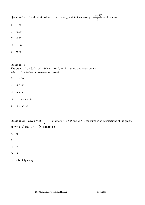**Question 18** The shortest distance from the origin *O* to the curve  $y = \frac{(x-2)^2}{2}$ 3  $y = \frac{(x-2)^3}{2}$  is closest to

- A. 1.01
- B. 0.99
- C. 0.97
- D. 0.96
- E. 0.95

#### **Question 19**

The graph of  $y = 3x^3 + ax^2 + b^2x + c$  for  $b, c \in R^+$  has no stationary points. Which of the following statements is true?

- A. *a* < 3*b*
- B. *a* > 3*b*
- C.  $a = 3b$
- D.  $-b < 2a < 3b$
- E.  $a < 3b + c$

**Question 20** Given  $f(x) = \frac{a}{x} + b$  $x - a$  $f(x) = \frac{a}{x} + \frac{a}{x}$ −  $=\frac{u}{x}+b$  where  $a, b \in R$  and  $a \neq 0$ , the number of intersections of the graphs of  $y = f(x)$  and  $y = f^{-1}(x)$  cannot be

- A. 0
- B. 1
- C. 2
- D. 3
- E. infinitely many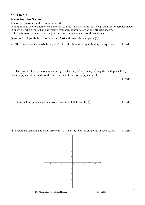#### **SECTION B**

#### **Instructions for Section B**

Answer **all** questions in the spaces provided.

In all questions where a numerical answer is required, an exact value must be given unless otherwise stated. In questions where more than one mark is available, appropriate working **must** be shown. Unless otherwise indicated, the diagrams in this examination are **not** drawn to scale.

**Question 1** A parabola has its vertex at  $(2,0)$  and passes through point  $(3,1)$ .

a. The equation of the parabola is  $y = x^2 - 4x + 4$ . Show working in finding the equation. 1 mark

b. The inverse of the parabola in part a is given by  $y = f(x)$  and  $y = g(x)$  together with point  $(0, 2)$ . Given  $f(x) > g(x)$ , write down the rule for each of functions  $f(x)$  and  $g(x)$ .

1 mark

c. Show that the parabola and its inverse intersect at  $(1, 1)$  and  $(4, 4)$ . 1 mark

di. Sketch the parabola and its inverse with  $(1,1)$  and  $(4,4)$  as the endpoints of each curve. 2 marks

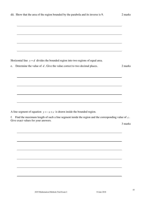| Horizontal line $y = d$ divides the bounded region into two regions of equal area. |  |
|------------------------------------------------------------------------------------|--|

|  |  | e. Determine the value of $d$ . Give the value correct to two decimal places. | 2 marks |
|--|--|-------------------------------------------------------------------------------|---------|
|--|--|-------------------------------------------------------------------------------|---------|

A line segment of equation  $y = -x + c$  is drawn inside the bounded region.

f. Find the maximum length of such a line segment inside the region and the corresponding value of *c* . Give exact values for your answers.

3 marks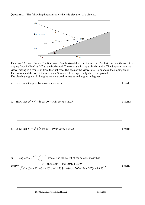



There are 23 rows of seats. The first row is 3 m horizontally from the screen. The last row is at the top of the sloping floor inclined at 20° to the horizontal. The rows are 1 m apart horizontally. The diagram shows a viewer sitting in a row *x* m from the first row. The eyes of the viewer are 1.5 m above the sloping floor. The bottom and the top of the screen are 3 m and 11 m respectively above the ground. The viewing angle is  $\theta$ . Lengths are measured in metres and angles in degrees.

|  | a. Determine the possible exact values of $x$ . | 1 mark |
|--|-------------------------------------------------|--------|
|--|-------------------------------------------------|--------|

b. Show that  $a^2 = x^2 + (6\cos 20^\circ - 3\sin 20^\circ)x + 11.25$ . 2 marks

c. Show that  $b^2 = x^2 + (6\cos 20^\circ - 19\sin 20^\circ)x + 99.25$ . 1 mark

di. Using 
$$
\cos \theta = \frac{a^2 + b^2 - c^2}{2ab}
$$
 where *c* is the height of the screen, show that  
\n
$$
\cos \theta = \frac{x^2 + (6\cos 20^\circ - 11\sin 20^\circ)x + 23.25}{\sqrt{(x^2 + (6\cos 20^\circ - 3\sin 20^\circ)x + 11.25)(x^2 + (6\cos 20^\circ - 19\sin 20^\circ)x + 99.25)}}
$$
1 mark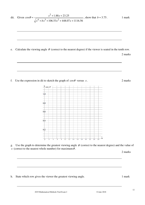dii. Given 106 53. 448 07. 1116 56. 88.1 23 25. cos 4 3 2 2 + + + + + + ≈ *x bx x x x x* <sup>θ</sup> , show that *b* ≈ 75.3 . 1 mark e. Calculate the viewing angle θ (correct to the nearest degree) if the viewer is seated in the tenth row. 2 marks f. Use the expression in dii to sketch the graph of cosθ versus *x* . 2 marks g. Use the graph to determine the greatest viewing angle θ (correct to the nearest degree) and the value of *x* (correct to the nearest whole number) for maximum<sup>θ</sup> . 2 marks

h. State which row gives the viewer the greatest viewing angle. 1 mark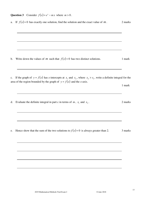Question 3 Consider  $f(x) = e^x - mx$  where  $m > 0$ .

| a. If $f(x)=0$ has exactly one solution, find the solution and the exact value of m.                                      | 2 marks |
|---------------------------------------------------------------------------------------------------------------------------|---------|
|                                                                                                                           |         |
|                                                                                                                           |         |
|                                                                                                                           |         |
|                                                                                                                           |         |
| Write down the values of <i>m</i> such that $f(x)=0$ has two distinct solutions.                                          | 1 mark  |
|                                                                                                                           |         |
| c. If the graph of $y = f(x)$ has x-intercepts at $x_1$ and $x_2$ , where $x_2 > x_1$ , write a definite integral for the |         |
| area of the region bounded by the graph of $y = f(x)$ and the x-axis.                                                     |         |
|                                                                                                                           | 1 mark  |
|                                                                                                                           |         |
| Evaluate the definite integral in part c in terms of $m$ , $x_1$ and $x_2$ .                                              | 2 marks |
|                                                                                                                           |         |
|                                                                                                                           |         |
|                                                                                                                           |         |
| Hence show that the sum of the two solutions to $f(x)=0$ is always greater than 2.                                        | 3 marks |
|                                                                                                                           |         |
|                                                                                                                           |         |
|                                                                                                                           |         |
|                                                                                                                           |         |
|                                                                                                                           |         |
|                                                                                                                           |         |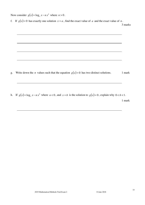Now consider  $g(x) = \log_e x - nx^2$  where  $n > 0$ .

f. If  $g(x)=0$  has exactly one solution  $x=a$ , find the exact value of *a* and the exact value of *n*.

3 marks

- g. Write down the *n* values such that the equation  $g(x) = 0$  has two distinct solutions. 1 mark
- *h*. If  $g(x) = log_e x − n x^2$  where  $n < 0$ , and  $x = b$  is the solution to  $g(x) = 0$ , explain why  $0 < b < 1$ . 1 mark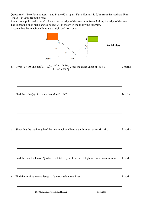**Question 4** Two farm houses, *A* and *B*, are 60 m apart. Farm House *A* is 25 m from the road and Farm House *B* is 20 m from the road.

A telephone pole marked as *P* is located at the edge of the road *x* m from *A* along the edge of the road. The telephone lines make angles  $\theta_1$  and  $\theta_2$  as shown in the following diagram.

Assume that the telephone lines are straight and horizontal.



a. Given  $x = 30$  and  $\tan(\theta_1 + \theta_2)$  $v_1$  tan  $v_2$  $(\theta_1 + \theta_2) = \frac{\tan \theta_1 + \tan \theta_2}{1 - \tan \theta_1 \tan \theta_2}$  $\tan(\theta_1 + \theta_2) = \frac{\tan \theta_1 + \tan \theta_2}{1 - \tan \theta_1 \tan \theta_2}$  $(\theta_1 + \theta_2) = \frac{\tan \theta_1 + \tan \theta_2}{1 - \tan \theta_1 \tan \theta_2}$  $+\theta_2$ ) =  $\frac{\tan \theta_1 + \tan \theta_2}{1 + \tan \theta_1 \tan \theta_2}$ , find the exact value of  $\theta_1 + \theta_2$ . 2 marks

b. Find the value(s) of *x* such that  $\theta_1 + \theta_2 = 90^\circ$ .

c. Show that the total length of the two telephone lines is a minimum when  $\theta_1 = \theta_2$ . . 2 marks

- d. Find the exact value of  $\theta_1$  when the total length of the two telephone lines is a minimum. 1 mark
- e. Find the minimum total length of the two telephone lines. 1 mark

. 2marks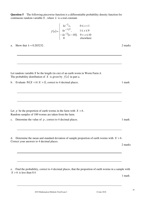**Question 5** The following piecewise function is a differentiable probability density function for continuous random variable *X* , where *k* is a real constant.

$$
f(x) = \begin{cases} ke^{-2}x, & 0 \le x < 1\\ ke^{-\frac{(x-5)^2}{8}}, & 1 \le x \le 9\\ -ke^{-2}(x-10), & 9 < x \le 10\\ 0 & \text{elsewhere} \end{cases}
$$

a. Show that  $k \approx 0.203232$ . 2 marks

Let random variable *X* be the length (in cm) of an earth worm in Worm Farm *A*. The probability distribution of *X* is given by  $f(x)$  in part a.

b. Evaluate  $Pr(X < 6 | X > 1)$ , correct to 4 decimal places. 1 mark

| Let p be the proportion of earth worms in the farm with $X > 6$ . |
|-------------------------------------------------------------------|
| Random samples of 100 worms are taken from the farm.              |

c. Determine the value of  $p$ , correct to 4 decimal places. 1 mark

d. Determine the mean and standard deviation of sample proportion of earth worms with  $X > 6$ . Correct your answers to 4 decimal places.

2 marks

e. Find the probability, correct to 4 decimal places, that the proportion of earth worms in a sample with  $X > 6$  is less than 0.4

1 mark